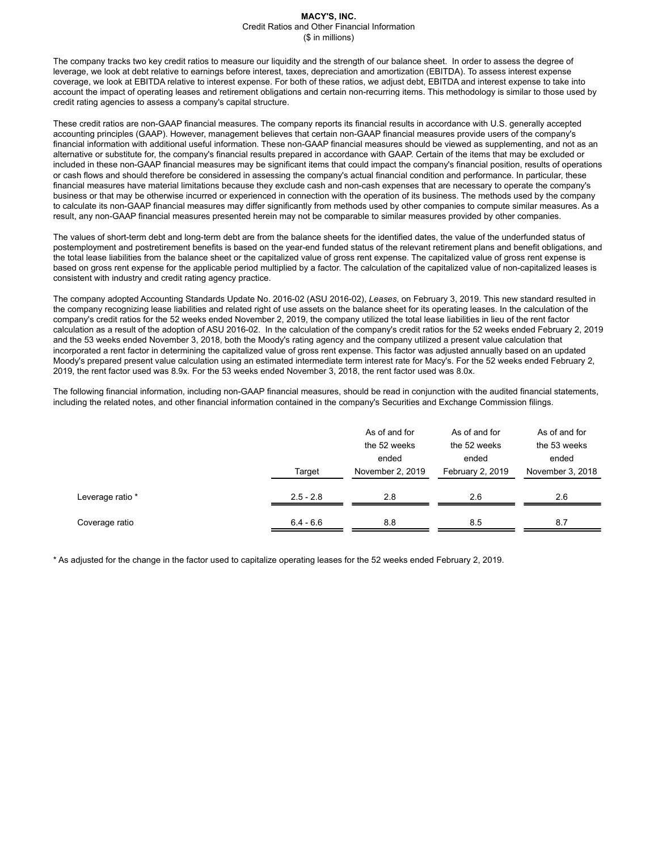#### **MACY'S, INC.** Credit Ratios and Other Financial Information (\$ in millions)

The company tracks two key credit ratios to measure our liquidity and the strength of our balance sheet. In order to assess the degree of leverage, we look at debt relative to earnings before interest, taxes, depreciation and amortization (EBITDA). To assess interest expense coverage, we look at EBITDA relative to interest expense. For both of these ratios, we adjust debt, EBITDA and interest expense to take into account the impact of operating leases and retirement obligations and certain non-recurring items. This methodology is similar to those used by credit rating agencies to assess a company's capital structure.

These credit ratios are non-GAAP financial measures. The company reports its financial results in accordance with U.S. generally accepted accounting principles (GAAP). However, management believes that certain non-GAAP financial measures provide users of the company's financial information with additional useful information. These non-GAAP financial measures should be viewed as supplementing, and not as an alternative or substitute for, the company's financial results prepared in accordance with GAAP. Certain of the items that may be excluded or included in these non-GAAP financial measures may be significant items that could impact the company's financial position, results of operations or cash flows and should therefore be considered in assessing the company's actual financial condition and performance. In particular, these financial measures have material limitations because they exclude cash and non-cash expenses that are necessary to operate the company's business or that may be otherwise incurred or experienced in connection with the operation of its business. The methods used by the company to calculate its non-GAAP financial measures may differ significantly from methods used by other companies to compute similar measures. As a result, any non-GAAP financial measures presented herein may not be comparable to similar measures provided by other companies.

The values of short-term debt and long-term debt are from the balance sheets for the identified dates, the value of the underfunded status of postemployment and postretirement benefits is based on the year-end funded status of the relevant retirement plans and benefit obligations, and the total lease liabilities from the balance sheet or the capitalized value of gross rent expense. The capitalized value of gross rent expense is based on gross rent expense for the applicable period multiplied by a factor. The calculation of the capitalized value of non-capitalized leases is consistent with industry and credit rating agency practice.

The company adopted Accounting Standards Update No. 2016-02 (ASU 2016-02), *Leases*, on February 3, 2019. This new standard resulted in the company recognizing lease liabilities and related right of use assets on the balance sheet for its operating leases. In the calculation of the company's credit ratios for the 52 weeks ended November 2, 2019, the company utilized the total lease liabilities in lieu of the rent factor calculation as a result of the adoption of ASU 2016-02. In the calculation of the company's credit ratios for the 52 weeks ended February 2, 2019 and the 53 weeks ended November 3, 2018, both the Moody's rating agency and the company utilized a present value calculation that incorporated a rent factor in determining the capitalized value of gross rent expense. This factor was adjusted annually based on an updated Moody's prepared present value calculation using an estimated intermediate term interest rate for Macy's. For the 52 weeks ended February 2, 2019, the rent factor used was 8.9x. For the 53 weeks ended November 3, 2018, the rent factor used was 8.0x.

The following financial information, including non-GAAP financial measures, should be read in conjunction with the audited financial statements, including the related notes, and other financial information contained in the company's Securities and Exchange Commission filings.

|                  | Target      | As of and for<br>the 52 weeks<br>ended<br>November 2, 2019 | As of and for<br>the 52 weeks<br>ended<br>February 2, 2019 |     |
|------------------|-------------|------------------------------------------------------------|------------------------------------------------------------|-----|
| Leverage ratio * | $2.5 - 2.8$ | 2.8                                                        | 2.6                                                        | 2.6 |
| Coverage ratio   | $6.4 - 6.6$ | 8.8                                                        | 8.5                                                        | 8.7 |

\* As adjusted for the change in the factor used to capitalize operating leases for the 52 weeks ended February 2, 2019.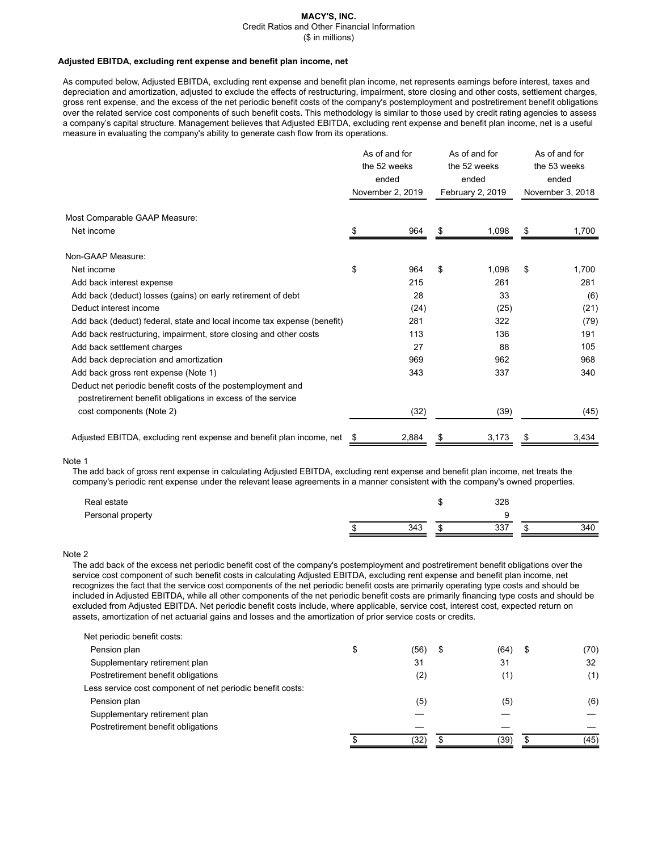# **MACY'S, INC.**

Credit Ratios and Other Financial Information

(\$ in millions)

#### **Adjusted EBITDA, excluding rent expense and benefit plan income, net**

As computed below, Adjusted EBITDA, excluding rent expense and benefit plan income, net represents earnings before interest, taxes and depreciation and amortization, adjusted to exclude the effects of restructuring, impairment, store closing and other costs, settlement charges, gross rent expense, and the excess of the net periodic benefit costs of the company's postemployment and postretirement benefit obligations over the related service cost components of such benefit costs. This methodology is similar to those used by credit rating agencies to assess a company's capital structure. Management believes that Adjusted EBITDA, excluding rent expense and benefit plan income, net is a useful measure in evaluating the company's ability to generate cash flow from its operations.

|                                                                                                                            | As of and for<br>the 52 weeks<br>ended |                  | As of and for<br>the 52 weeks<br>ended |                  | As of and for<br>the 53 weeks<br>ended |                  |
|----------------------------------------------------------------------------------------------------------------------------|----------------------------------------|------------------|----------------------------------------|------------------|----------------------------------------|------------------|
|                                                                                                                            |                                        | November 2, 2019 |                                        | February 2, 2019 |                                        | November 3, 2018 |
| Most Comparable GAAP Measure:                                                                                              |                                        |                  |                                        |                  |                                        |                  |
| Net income                                                                                                                 | S                                      | 964              | S                                      | 1,098            | S                                      | 1,700            |
| Non-GAAP Measure:                                                                                                          |                                        |                  |                                        |                  |                                        |                  |
| Net income                                                                                                                 | \$                                     | 964              | \$                                     | 1,098            | \$                                     | 1,700            |
| Add back interest expense                                                                                                  |                                        | 215              |                                        | 261              |                                        | 281              |
| Add back (deduct) losses (gains) on early retirement of debt                                                               |                                        | 28               |                                        | 33               |                                        | (6)              |
| Deduct interest income                                                                                                     |                                        | (24)             |                                        | (25)             |                                        | (21)             |
| Add back (deduct) federal, state and local income tax expense (benefit)                                                    |                                        | 281              |                                        | 322              |                                        | (79)             |
| Add back restructuring, impairment, store closing and other costs                                                          |                                        | 113              |                                        | 136              |                                        | 191              |
| Add back settlement charges                                                                                                |                                        | 27               |                                        | 88               |                                        | 105              |
| Add back depreciation and amortization                                                                                     |                                        | 969              |                                        | 962              |                                        | 968              |
| Add back gross rent expense (Note 1)                                                                                       |                                        | 343              |                                        | 337              |                                        | 340              |
| Deduct net periodic benefit costs of the postemployment and<br>postretirement benefit obligations in excess of the service |                                        |                  |                                        |                  |                                        |                  |
| cost components (Note 2)                                                                                                   |                                        | (32)             |                                        | (39)             |                                        | (45)             |
| Adjusted EBITDA, excluding rent expense and benefit plan income, net                                                       | \$                                     | 2,884            |                                        | 3,173            |                                        | 3,434            |

#### Note 1

The add back of gross rent expense in calculating Adjusted EBITDA, excluding rent expense and benefit plan income, net treats the company's periodic rent expense under the relevant lease agreements in a manner consistent with the company's owned properties.

| Real estate       |     | 328 |    |     |
|-------------------|-----|-----|----|-----|
| Personal property |     |     |    |     |
|                   | 343 | 337 | ۰D | 340 |

## Note 2

The add back of the excess net periodic benefit cost of the company's postemployment and postretirement benefit obligations over the service cost component of such benefit costs in calculating Adjusted EBITDA, excluding rent expense and benefit plan income, net recognizes the fact that the service cost components of the net periodic benefit costs are primarily operating type costs and should be included in Adjusted EBITDA, while all other components of the net periodic benefit costs are primarily financing type costs and should be excluded from Adjusted EBITDA. Net periodic benefit costs include, where applicable, service cost, interest cost, expected return on assets, amortization of net actuarial gains and losses and the amortization of prior service costs or credits.

| S | (56)<br>\$ | (64)<br>\$ | (70) |
|---|------------|------------|------|
|   | 31         | 31         | 32   |
|   | (2)        | (1)        | (1)  |
|   |            |            |      |
|   | (5)        | (5)        | (6)  |
|   |            |            |      |
|   |            |            |      |
|   | (32)       | (39)       | (45) |
|   |            |            |      |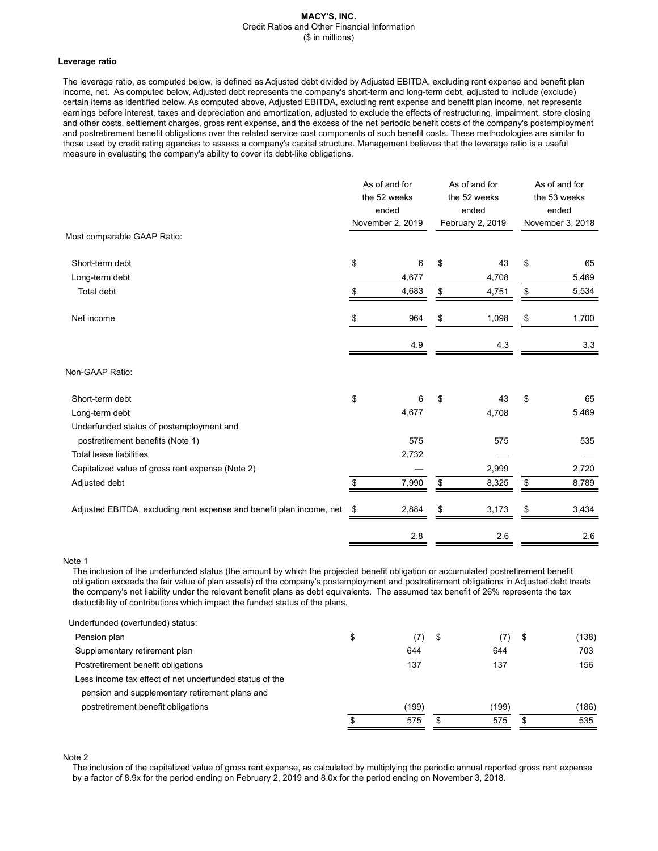#### **MACY'S, INC.** Credit Ratios and Other Financial Information (\$ in millions)

#### **Leverage ratio**

The leverage ratio, as computed below, is defined as Adjusted debt divided by Adjusted EBITDA, excluding rent expense and benefit plan income, net. As computed below, Adjusted debt represents the company's short-term and long-term debt, adjusted to include (exclude) certain items as identified below. As computed above, Adjusted EBITDA, excluding rent expense and benefit plan income, net represents earnings before interest, taxes and depreciation and amortization, adjusted to exclude the effects of restructuring, impairment, store closing and other costs, settlement charges, gross rent expense, and the excess of the net periodic benefit costs of the company's postemployment and postretirement benefit obligations over the related service cost components of such benefit costs. These methodologies are similar to those used by credit rating agencies to assess a company's capital structure. Management believes that the leverage ratio is a useful measure in evaluating the company's ability to cover its debt-like obligations.

|                                                                      | As of and for<br>the 52 weeks<br>ended<br>November 2, 2019 |       | As of and for<br>the 52 weeks<br>ended<br>February 2, 2019 |       | As of and for<br>the 53 weeks<br>ended<br>November 3, 2018 |       |
|----------------------------------------------------------------------|------------------------------------------------------------|-------|------------------------------------------------------------|-------|------------------------------------------------------------|-------|
| Most comparable GAAP Ratio:                                          |                                                            |       |                                                            |       |                                                            |       |
| Short-term debt                                                      | \$                                                         | 6     | \$                                                         | 43    | \$                                                         | 65    |
| Long-term debt                                                       |                                                            | 4,677 |                                                            | 4,708 |                                                            | 5,469 |
| Total debt                                                           | \$                                                         | 4,683 | \$                                                         | 4,751 | \$                                                         | 5,534 |
| Net income                                                           | \$                                                         | 964   | \$                                                         | 1,098 | \$                                                         | 1,700 |
|                                                                      |                                                            | 4.9   |                                                            | 4.3   |                                                            | 3.3   |
| Non-GAAP Ratio:                                                      |                                                            |       |                                                            |       |                                                            |       |
| Short-term debt                                                      | \$                                                         | 6     | \$                                                         | 43    | \$                                                         | 65    |
| Long-term debt                                                       |                                                            | 4,677 |                                                            | 4,708 |                                                            | 5,469 |
| Underfunded status of postemployment and                             |                                                            |       |                                                            |       |                                                            |       |
| postretirement benefits (Note 1)                                     |                                                            | 575   |                                                            | 575   |                                                            | 535   |
| <b>Total lease liabilities</b>                                       |                                                            | 2,732 |                                                            |       |                                                            |       |
| Capitalized value of gross rent expense (Note 2)                     |                                                            |       |                                                            | 2,999 |                                                            | 2,720 |
| Adjusted debt                                                        | \$                                                         | 7,990 | \$                                                         | 8,325 | \$                                                         | 8,789 |
| Adjusted EBITDA, excluding rent expense and benefit plan income, net | \$                                                         | 2,884 | \$                                                         | 3,173 | \$                                                         | 3,434 |
|                                                                      |                                                            | 2.8   |                                                            | 2.6   |                                                            | 2.6   |

Note 1

The inclusion of the underfunded status (the amount by which the projected benefit obligation or accumulated postretirement benefit obligation exceeds the fair value of plan assets) of the company's postemployment and postretirement obligations in Adjusted debt treats the company's net liability under the relevant benefit plans as debt equivalents. The assumed tax benefit of 26% represents the tax deductibility of contributions which impact the funded status of the plans.

| Underfunded (overfunded) status:                        |    |       |      |       |    |       |
|---------------------------------------------------------|----|-------|------|-------|----|-------|
| Pension plan                                            | \$ | (7)   | - \$ | (7)   | \$ | (138) |
| Supplementary retirement plan                           |    | 644   |      | 644   |    | 703   |
| Postretirement benefit obligations                      |    | 137   |      | 137   |    | 156   |
| Less income tax effect of net underfunded status of the |    |       |      |       |    |       |
| pension and supplementary retirement plans and          |    |       |      |       |    |       |
| postretirement benefit obligations                      |    | (199) |      | (199) |    | (186) |
|                                                         | œ  | 575   | \$   | 575   | £. | 535   |
|                                                         |    |       |      |       |    |       |

Note 2

The inclusion of the capitalized value of gross rent expense, as calculated by multiplying the periodic annual reported gross rent expense by a factor of 8.9x for the period ending on February 2, 2019 and 8.0x for the period ending on November 3, 2018.